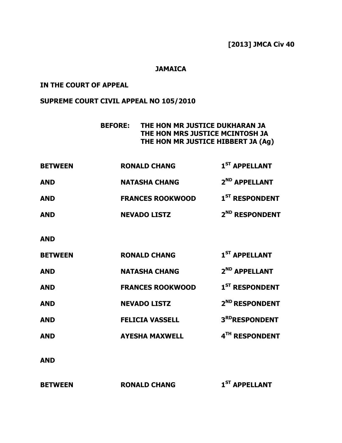## JAMAICA

## IN THE COURT OF APPEAL

# SUPREME COURT CIVIL APPEAL NO 105/2010

| <b>BEFORE:</b> | THE HON MR JUSTICE DUKHARAN JA     |
|----------------|------------------------------------|
|                | THE HON MRS JUSTICE MCINTOSH JA    |
|                | THE HON MR JUSTICE HIBBERT JA (Ag) |

| <b>BETWEEN</b> | <b>RONALD CHANG</b>     | 1 <sup>ST</sup> APPELLANT  |
|----------------|-------------------------|----------------------------|
| <b>AND</b>     | <b>NATASHA CHANG</b>    | 2 <sup>ND</sup> APPELLANT  |
| <b>AND</b>     | <b>FRANCES ROOKWOOD</b> | 1 <sup>ST</sup> RESPONDENT |
| <b>AND</b>     | <b>NEVADO LISTZ</b>     | 2 <sup>ND</sup> RESPONDENT |

AND

| <b>BETWEEN</b> | <b>RONALD CHANG</b>     | 1 <sup>ST</sup> APPELLANT  |
|----------------|-------------------------|----------------------------|
| <b>AND</b>     | <b>NATASHA CHANG</b>    | 2 <sup>ND</sup> APPELLANT  |
| <b>AND</b>     | <b>FRANCES ROOKWOOD</b> | 1 <sup>ST</sup> RESPONDENT |
| <b>AND</b>     | <b>NEVADO LISTZ</b>     | 2 <sup>ND</sup> RESPONDENT |
| <b>AND</b>     | <b>FELICIA VASSELL</b>  | 3RDRESPONDENT              |
| <b>AND</b>     | <b>AYESHA MAXWELL</b>   | 4TH RESPONDENT             |
|                |                         |                            |

AND

BETWEEN RONALD CHANG 1<sup>ST</sup> APPELLANT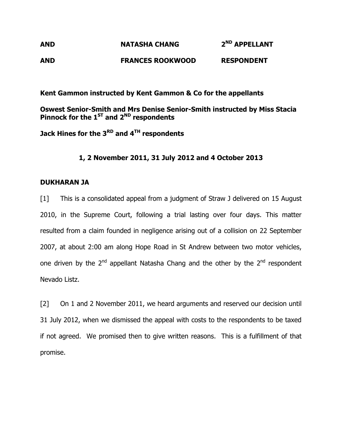# AND **NATASHA CHANG** 2<sup>ND</sup> APPELLANT AND FRANCES ROOKWOOD RESPONDENT

Kent Gammon instructed by Kent Gammon & Co for the appellants

Oswest Senior-Smith and Mrs Denise Senior-Smith instructed by Miss Stacia Pinnock for the  $1^{ST}$  and  $2^{ND}$  respondents

Jack Hines for the  $3^{RD}$  and  $4^{TH}$  respondents

## 1, 2 November 2011, 31 July 2012 and 4 October 2013

## DUKHARAN JA

[1] This is a consolidated appeal from a judgment of Straw J delivered on 15 August 2010, in the Supreme Court, following a trial lasting over four days. This matter resulted from a claim founded in negligence arising out of a collision on 22 September 2007, at about 2:00 am along Hope Road in St Andrew between two motor vehicles, one driven by the  $2<sup>nd</sup>$  appellant Natasha Chang and the other by the  $2<sup>nd</sup>$  respondent Nevado Listz.

[2] On 1 and 2 November 2011, we heard arguments and reserved our decision until 31 July 2012, when we dismissed the appeal with costs to the respondents to be taxed if not agreed. We promised then to give written reasons. This is a fulfillment of that promise.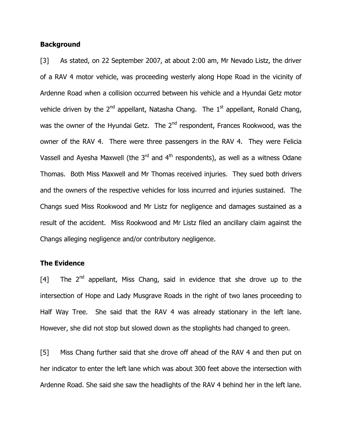#### **Background**

[3] As stated, on 22 September 2007, at about 2:00 am, Mr Nevado Listz, the driver of a RAV 4 motor vehicle, was proceeding westerly along Hope Road in the vicinity of Ardenne Road when a collision occurred between his vehicle and a Hyundai Getz motor vehicle driven by the  $2^{nd}$  appellant, Natasha Chang. The  $1^{st}$  appellant, Ronald Chang, was the owner of the Hyundai Getz. The  $2^{nd}$  respondent, Frances Rookwood, was the owner of the RAV 4. There were three passengers in the RAV 4. They were Felicia Vassell and Ayesha Maxwell (the  $3<sup>rd</sup>$  and  $4<sup>th</sup>$  respondents), as well as a witness Odane Thomas. Both Miss Maxwell and Mr Thomas received injuries. They sued both drivers and the owners of the respective vehicles for loss incurred and injuries sustained. The Changs sued Miss Rookwood and Mr Listz for negligence and damages sustained as a result of the accident. Miss Rookwood and Mr Listz filed an ancillary claim against the Changs alleging negligence and/or contributory negligence.

### The Evidence

[4] The  $2^{nd}$  appellant, Miss Chang, said in evidence that she drove up to the intersection of Hope and Lady Musgrave Roads in the right of two lanes proceeding to Half Way Tree. She said that the RAV 4 was already stationary in the left lane. However, she did not stop but slowed down as the stoplights had changed to green.

[5] Miss Chang further said that she drove off ahead of the RAV 4 and then put on her indicator to enter the left lane which was about 300 feet above the intersection with Ardenne Road. She said she saw the headlights of the RAV 4 behind her in the left lane.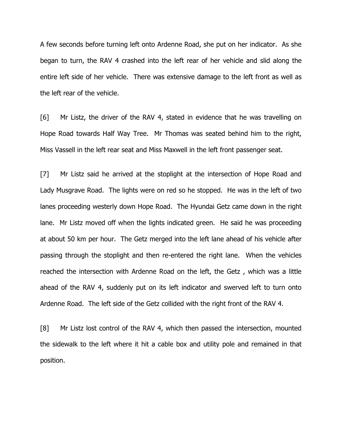A few seconds before turning left onto Ardenne Road, she put on her indicator. As she began to turn, the RAV 4 crashed into the left rear of her vehicle and slid along the entire left side of her vehicle. There was extensive damage to the left front as well as the left rear of the vehicle.

[6] Mr Listz, the driver of the RAV 4, stated in evidence that he was travelling on Hope Road towards Half Way Tree. Mr Thomas was seated behind him to the right, Miss Vassell in the left rear seat and Miss Maxwell in the left front passenger seat.

[7] Mr Listz said he arrived at the stoplight at the intersection of Hope Road and Lady Musgrave Road. The lights were on red so he stopped. He was in the left of two lanes proceeding westerly down Hope Road. The Hyundai Getz came down in the right lane. Mr Listz moved off when the lights indicated green. He said he was proceeding at about 50 km per hour. The Getz merged into the left lane ahead of his vehicle after passing through the stoplight and then re-entered the right lane. When the vehicles reached the intersection with Ardenne Road on the left, the Getz , which was a little ahead of the RAV 4, suddenly put on its left indicator and swerved left to turn onto Ardenne Road. The left side of the Getz collided with the right front of the RAV 4.

[8] Mr Listz lost control of the RAV 4, which then passed the intersection, mounted the sidewalk to the left where it hit a cable box and utility pole and remained in that position.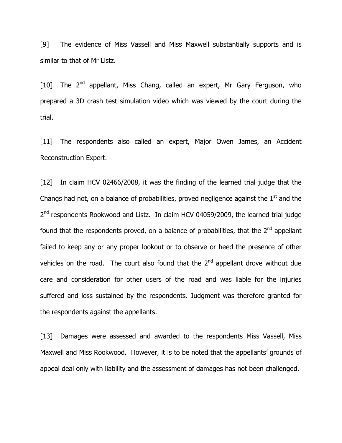[9] The evidence of Miss Vassell and Miss Maxwell substantially supports and is similar to that of Mr Listz.

[10] The  $2^{nd}$  appellant, Miss Chang, called an expert, Mr Gary Ferguson, who prepared a 3D crash test simulation video which was viewed by the court during the trial.

[11] The respondents also called an expert, Major Owen James, an Accident Reconstruction Expert.

[12] In claim HCV 02466/2008, it was the finding of the learned trial judge that the Changs had not, on a balance of probabilities, proved negligence against the  $1<sup>st</sup>$  and the 2<sup>nd</sup> respondents Rookwood and Listz. In claim HCV 04059/2009, the learned trial judge found that the respondents proved, on a balance of probabilities, that the  $2^{nd}$  appellant failed to keep any or any proper lookout or to observe or heed the presence of other vehicles on the road. The court also found that the  $2<sup>nd</sup>$  appellant drove without due care and consideration for other users of the road and was liable for the injuries suffered and loss sustained by the respondents. Judgment was therefore granted for the respondents against the appellants.

[13] Damages were assessed and awarded to the respondents Miss Vassell, Miss Maxwell and Miss Rookwood. However, it is to be noted that the appellants' grounds of appeal deal only with liability and the assessment of damages has not been challenged.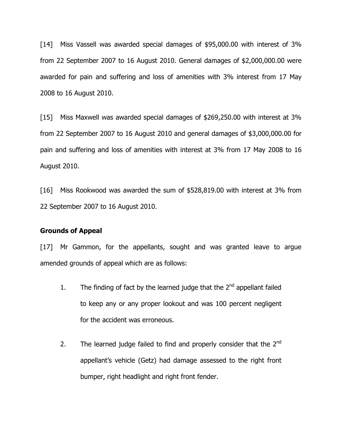[14] Miss Vassell was awarded special damages of \$95,000.00 with interest of 3% from 22 September 2007 to 16 August 2010. General damages of \$2,000,000.00 were awarded for pain and suffering and loss of amenities with 3% interest from 17 May 2008 to 16 August 2010.

[15] Miss Maxwell was awarded special damages of \$269,250.00 with interest at 3% from 22 September 2007 to 16 August 2010 and general damages of \$3,000,000.00 for pain and suffering and loss of amenities with interest at 3% from 17 May 2008 to 16 August 2010.

[16] Miss Rookwood was awarded the sum of \$528,819.00 with interest at 3% from 22 September 2007 to 16 August 2010.

#### Grounds of Appeal

[17] Mr Gammon, for the appellants, sought and was granted leave to argue amended grounds of appeal which are as follows:

- 1. The finding of fact by the learned judge that the  $2<sup>nd</sup>$  appellant failed to keep any or any proper lookout and was 100 percent negligent for the accident was erroneous.
- 2. The learned judge failed to find and properly consider that the  $2^{nd}$ appellant's vehicle (Getz) had damage assessed to the right front bumper, right headlight and right front fender.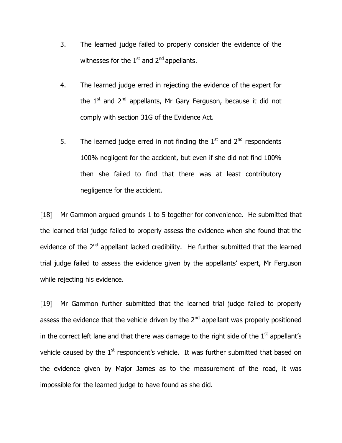- 3. The learned judge failed to properly consider the evidence of the witnesses for the  $1<sup>st</sup>$  and  $2<sup>nd</sup>$  appellants.
- 4. The learned judge erred in rejecting the evidence of the expert for the  $1<sup>st</sup>$  and  $2<sup>nd</sup>$  appellants, Mr Gary Ferguson, because it did not comply with section 31G of the Evidence Act.
- 5. The learned judge erred in not finding the  $1<sup>st</sup>$  and  $2<sup>nd</sup>$  respondents 100% negligent for the accident, but even if she did not find 100% then she failed to find that there was at least contributory negligence for the accident.

[18] Mr Gammon argued grounds 1 to 5 together for convenience. He submitted that the learned trial judge failed to properly assess the evidence when she found that the evidence of the 2<sup>nd</sup> appellant lacked credibility. He further submitted that the learned trial judge failed to assess the evidence given by the appellants' expert, Mr Ferguson while rejecting his evidence.

[19] Mr Gammon further submitted that the learned trial judge failed to properly assess the evidence that the vehicle driven by the 2<sup>nd</sup> appellant was properly positioned in the correct left lane and that there was damage to the right side of the  $1<sup>st</sup>$  appellant's vehicle caused by the  $1<sup>st</sup>$  respondent's vehicle. It was further submitted that based on the evidence given by Major James as to the measurement of the road, it was impossible for the learned judge to have found as she did.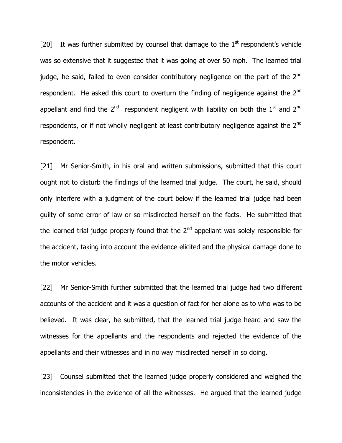[20] It was further submitted by counsel that damage to the  $1<sup>st</sup>$  respondent's vehicle was so extensive that it suggested that it was going at over 50 mph. The learned trial judge, he said, failed to even consider contributory negligence on the part of the 2<sup>nd</sup> respondent. He asked this court to overturn the finding of negligence against the  $2^{nd}$ appellant and find the  $2^{nd}$  respondent negligent with liability on both the  $1^{st}$  and  $2^{nd}$ respondents, or if not wholly negligent at least contributory negligence against the  $2^{nd}$ respondent.

[21] Mr Senior-Smith, in his oral and written submissions, submitted that this court ought not to disturb the findings of the learned trial judge. The court, he said, should only interfere with a judgment of the court below if the learned trial judge had been guilty of some error of law or so misdirected herself on the facts. He submitted that the learned trial judge properly found that the  $2<sup>nd</sup>$  appellant was solely responsible for the accident, taking into account the evidence elicited and the physical damage done to the motor vehicles.

[22] Mr Senior-Smith further submitted that the learned trial judge had two different accounts of the accident and it was a question of fact for her alone as to who was to be believed. It was clear, he submitted, that the learned trial judge heard and saw the witnesses for the appellants and the respondents and rejected the evidence of the appellants and their witnesses and in no way misdirected herself in so doing.

[23] Counsel submitted that the learned judge properly considered and weighed the inconsistencies in the evidence of all the witnesses. He argued that the learned judge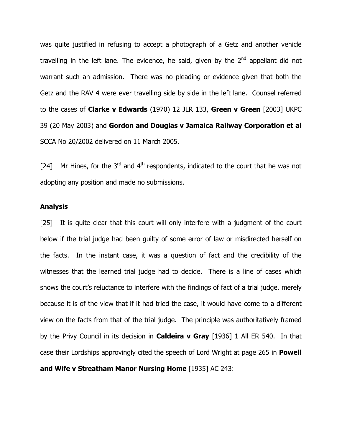was quite justified in refusing to accept a photograph of a Getz and another vehicle travelling in the left lane. The evidence, he said, given by the  $2<sup>nd</sup>$  appellant did not warrant such an admission. There was no pleading or evidence given that both the Getz and the RAV 4 were ever travelling side by side in the left lane. Counsel referred to the cases of **Clarke v Edwards** (1970) 12 JLR 133, Green v Green [2003] UKPC 39 (20 May 2003) and Gordon and Douglas v Jamaica Railway Corporation et al SCCA No 20/2002 delivered on 11 March 2005.

[24] Mr Hines, for the 3<sup>rd</sup> and 4<sup>th</sup> respondents, indicated to the court that he was not adopting any position and made no submissions.

#### Analysis

[25] It is quite clear that this court will only interfere with a judgment of the court below if the trial judge had been guilty of some error of law or misdirected herself on the facts. In the instant case, it was a question of fact and the credibility of the witnesses that the learned trial judge had to decide. There is a line of cases which shows the court's reluctance to interfere with the findings of fact of a trial judge, merely because it is of the view that if it had tried the case, it would have come to a different view on the facts from that of the trial judge. The principle was authoritatively framed by the Privy Council in its decision in **Caldeira v Gray** [1936] 1 All ER 540. In that case their Lordships approvingly cited the speech of Lord Wright at page 265 in **Powell** and Wife v Streatham Manor Nursing Home [1935] AC 243: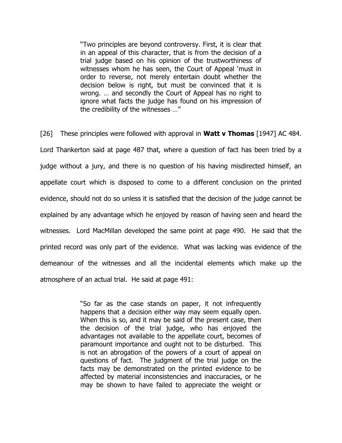"Two principles are beyond controversy. First, it is clear that in an appeal of this character, that is from the decision of a trial judge based on his opinion of the trustworthiness of witnesses whom he has seen, the Court of Appeal 'must in order to reverse, not merely entertain doubt whether the decision below is right, but must be convinced that it is wrong. … and secondly the Court of Appeal has no right to ignore what facts the judge has found on his impression of the credibility of the witnesses …"

[26] These principles were followed with approval in **Watt v Thomas** [1947] AC 484. Lord Thankerton said at page 487 that, where a question of fact has been tried by a judge without a jury, and there is no question of his having misdirected himself, an appellate court which is disposed to come to a different conclusion on the printed evidence, should not do so unless it is satisfied that the decision of the judge cannot be explained by any advantage which he enjoyed by reason of having seen and heard the witnesses. Lord MacMillan developed the same point at page 490. He said that the printed record was only part of the evidence. What was lacking was evidence of the demeanour of the witnesses and all the incidental elements which make up the atmosphere of an actual trial. He said at page 491:

> "So far as the case stands on paper, it not infrequently happens that a decision either way may seem equally open. When this is so, and it may be said of the present case, then the decision of the trial judge, who has enjoyed the advantages not available to the appellate court, becomes of paramount importance and ought not to be disturbed. This is not an abrogation of the powers of a court of appeal on questions of fact. The judgment of the trial judge on the facts may be demonstrated on the printed evidence to be affected by material inconsistencies and inaccuracies, or he may be shown to have failed to appreciate the weight or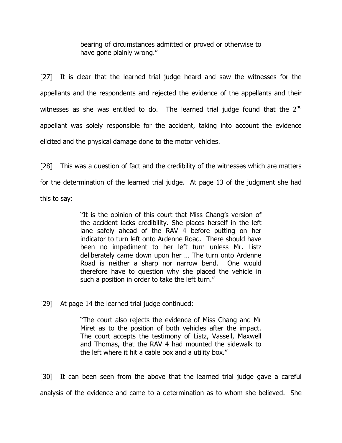bearing of circumstances admitted or proved or otherwise to have gone plainly wrong."

[27] It is clear that the learned trial judge heard and saw the witnesses for the appellants and the respondents and rejected the evidence of the appellants and their witnesses as she was entitled to do. The learned trial judge found that the  $2<sup>nd</sup>$ appellant was solely responsible for the accident, taking into account the evidence elicited and the physical damage done to the motor vehicles.

[28] This was a question of fact and the credibility of the witnesses which are matters for the determination of the learned trial judge. At page 13 of the judgment she had this to say:

> "It is the opinion of this court that Miss Chang's version of the accident lacks credibility. She places herself in the left lane safely ahead of the RAV 4 before putting on her indicator to turn left onto Ardenne Road. There should have been no impediment to her left turn unless Mr. Listz deliberately came down upon her … The turn onto Ardenne Road is neither a sharp nor narrow bend. One would therefore have to question why she placed the vehicle in such a position in order to take the left turn."

[29] At page 14 the learned trial judge continued:

"The court also rejects the evidence of Miss Chang and Mr Miret as to the position of both vehicles after the impact. The court accepts the testimony of Listz, Vassell, Maxwell and Thomas, that the RAV 4 had mounted the sidewalk to the left where it hit a cable box and a utility box."

[30] It can been seen from the above that the learned trial judge gave a careful analysis of the evidence and came to a determination as to whom she believed. She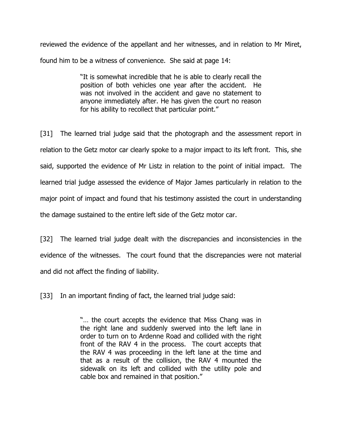reviewed the evidence of the appellant and her witnesses, and in relation to Mr Miret, found him to be a witness of convenience. She said at page 14:

> "It is somewhat incredible that he is able to clearly recall the position of both vehicles one year after the accident. He was not involved in the accident and gave no statement to anyone immediately after. He has given the court no reason for his ability to recollect that particular point."

[31] The learned trial judge said that the photograph and the assessment report in relation to the Getz motor car clearly spoke to a major impact to its left front. This, she said, supported the evidence of Mr Listz in relation to the point of initial impact. The learned trial judge assessed the evidence of Major James particularly in relation to the major point of impact and found that his testimony assisted the court in understanding the damage sustained to the entire left side of the Getz motor car.

[32] The learned trial judge dealt with the discrepancies and inconsistencies in the evidence of the witnesses. The court found that the discrepancies were not material and did not affect the finding of liability.

[33] In an important finding of fact, the learned trial judge said:

"… the court accepts the evidence that Miss Chang was in the right lane and suddenly swerved into the left lane in order to turn on to Ardenne Road and collided with the right front of the RAV 4 in the process. The court accepts that the RAV 4 was proceeding in the left lane at the time and that as a result of the collision, the RAV 4 mounted the sidewalk on its left and collided with the utility pole and cable box and remained in that position."